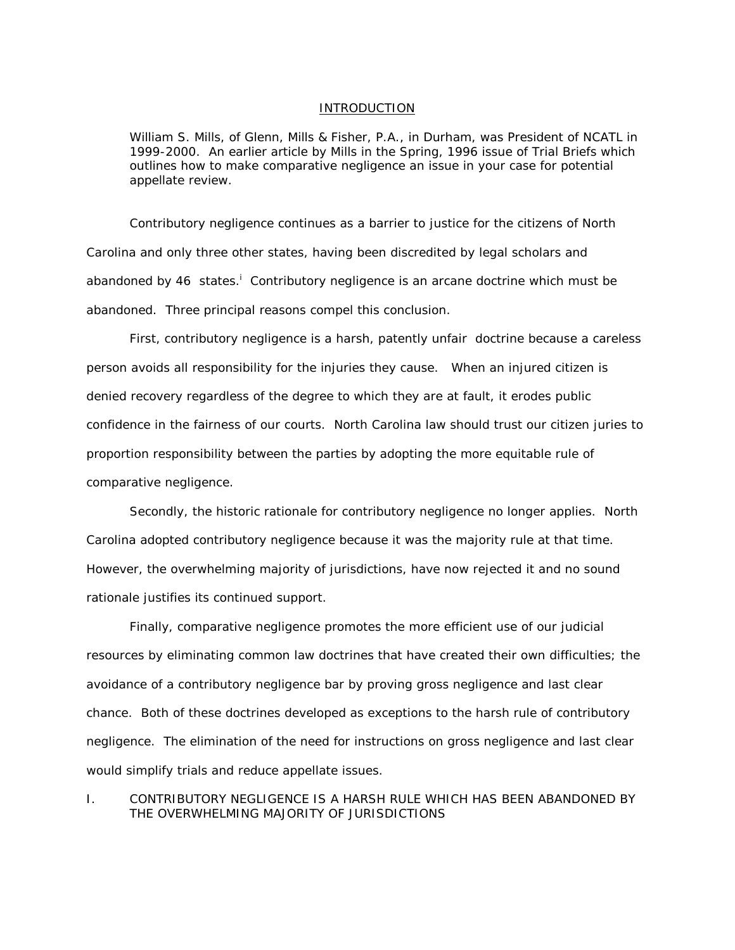#### INTRODUCTION

*William S. Mills, of Glenn, Mills & Fisher, P.A., in Durham, was President of NCATL in 1999-2000. An earlier article by Mills in the Spring, 1996 issue of Trial Briefs which outlines how to make comparative negligence an issue in your case for potential appellate review.*

Contributory negligence continues as a barrier to justice for the citizens of North Carolina and only three other states, having been discredited by legal scholars and abandoned by 46 states.<sup>1</sup> Contr[i](#page-10-0)butory negligence is an arcane doctrine which must be abandoned. Three principal reasons compel this conclusion.

 First, contributory negligence is a harsh, patently unfair doctrine because a careless person avoids all responsibility for the injuries they cause. When an injured citizen is denied recovery regardless of the degree to which they are at fault, it erodes public confidence in the fairness of our courts. North Carolina law should trust our citizen juries to proportion responsibility between the parties by adopting the more equitable rule of comparative negligence.

Secondly, the historic rationale for contributory negligence no longer applies. North Carolina adopted contributory negligence because it was the majority rule at that time. However, the overwhelming majority of jurisdictions, have now rejected it and no sound rationale justifies its continued support.

Finally, comparative negligence promotes the more efficient use of our judicial resources by eliminating common law doctrines that have created their own difficulties; the avoidance of a contributory negligence bar by proving gross negligence and last clear chance. Both of these doctrines developed as exceptions to the harsh rule of contributory negligence. The elimination of the need for instructions on gross negligence and last clear would simplify trials and reduce appellate issues.

I. CONTRIBUTORY NEGLIGENCE IS A HARSH RULE WHICH HAS BEEN ABANDONED BY THE OVERWHELMING MAJORITY OF JURISDICTIONS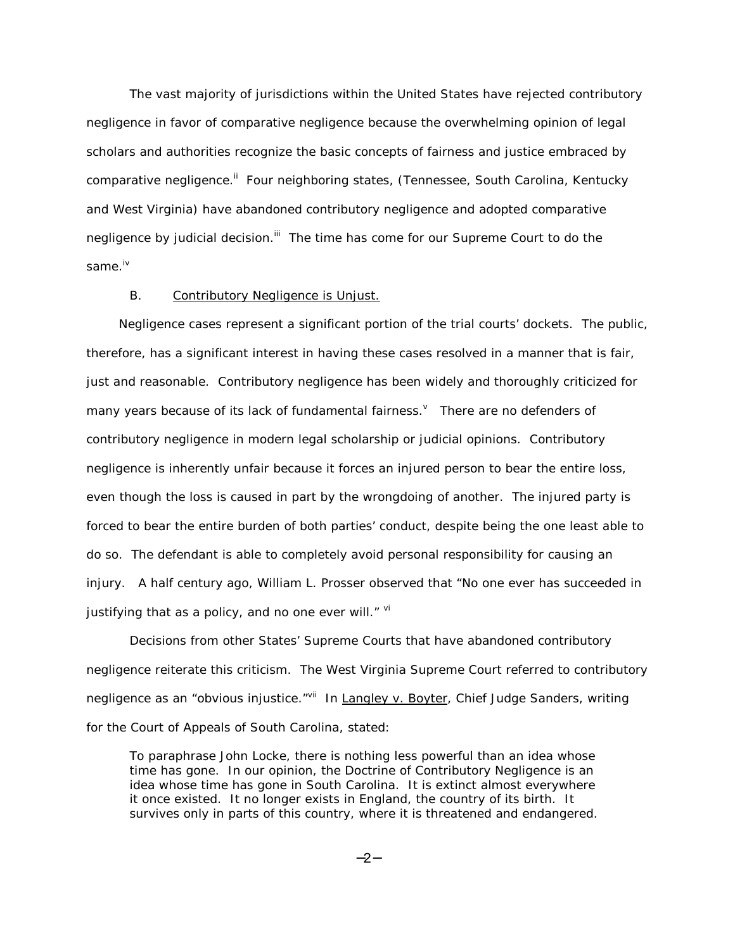The vast majority of jurisdictions within the United States have rejected contributory negligence in favor of comparative negligence because the overwhelming opinion of legal scholars and authorities recognize the basic concepts of fairness and justice embraced by comparative negligence.<sup>ii</sup> Four neighboring states, (Tennessee, South Carolina, Kentucky and West Virginia) have abandoned contributory negligence and adopted comparative negligence by judicial decision.<sup>iii</sup> The time has come for our Supreme Court to do the same iv

## B. Contributory Negligence is Unjust.

Negligence cases represent a significant portion of the trial courts' dockets. The public, therefore, has a significant interest in having these cases resolved in a manner that is fair, just and reasonable. Contributory negligence has been widely and thoroughly criticized for many years because of its lack of fundamental fairness. There are no defenders of contributory negligence in modern legal scholarship or judicial opinions. Contributory negligence is inherently unfair because it forces an injured person to bear the entire loss, even though the loss is caused in part by the wrongdoing of another. The injured party is forced to bear the entire burden of both parties' conduct, despite being the one least able to do so. The defendant is able to completely avoid personal responsibility for causing an injury. A half century ago, William L. Prosser observed that "No one ever has succeeded in justifying that as a policy, and no one ever will. $"$  [vi](#page-10-0)

Decisions from other States' Supreme Courts that have abandoned contributory negligence reiterate this criticism. The West Virginia Supreme Court referred to contributory negligence as an "obvious injustice."<sup>vii</sup> In Langley v. Boyter, Chief Judge Sanders, writing for the Court of Appeals of South Carolina, stated:

To paraphrase John Locke, there is nothing less powerful than an idea whose time has gone. In our opinion, the Doctrine of Contributory Negligence is an idea whose time has gone in South Carolina. It is extinct almost everywhere it once existed. It no longer exists in England, the country of its birth. It survives only in parts of this country, where it is threatened and endangered.

−2−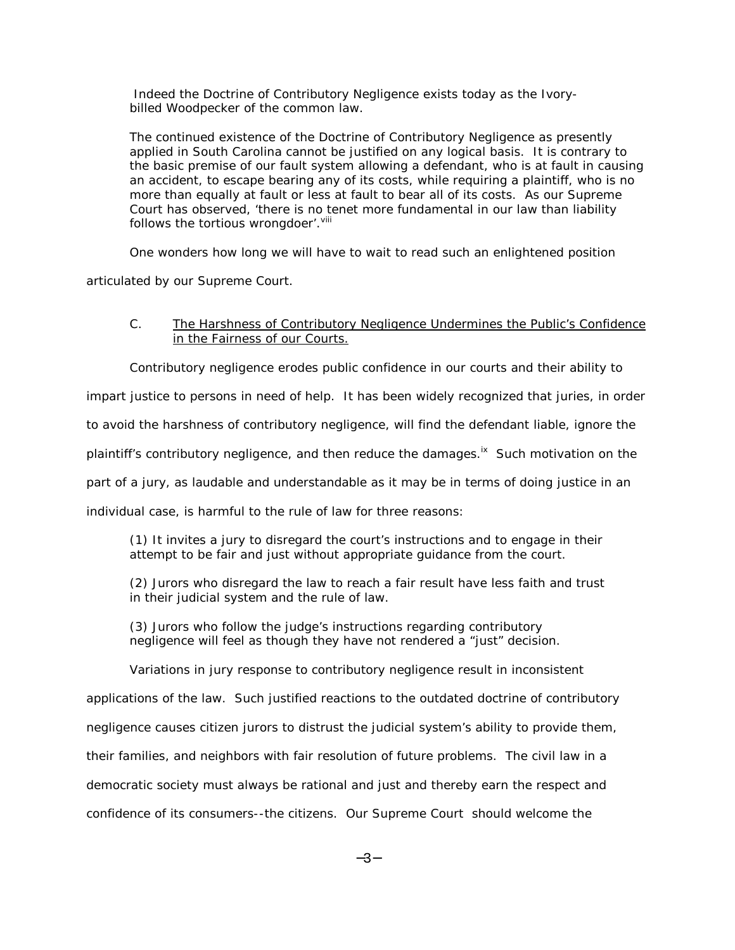Indeed the Doctrine of Contributory Negligence exists today as the Ivorybilled Woodpecker of the common law.

The continued existence of the Doctrine of Contributory Negligence as presently applied in South Carolina cannot be justified on any logical basis. It is contrary to the basic premise of our fault system allowing a defendant, who is at fault in causing an accident, to escape bearing any of its costs, while requiring a plaintiff, who is no more than equally at fault or less at fault to bear all of its costs. As our Supreme Court has observed, 'there is no tenet more fundamental in our law than liability follows the tortious wrongdoer'. Vill

One wonders how long we will have to wait to read such an enlightened position

articulated by our Supreme Court.

### C. The Harshness of Contributory Negligence Undermines the Public's Confidence in the Fairness of our Courts.

Contributory negligence erodes public confidence in our courts and their ability to

impart justice to persons in need of help. It has been widely recognized that juries, in order

to avoid the harshness of contributory negligence, will find the defendant liable, ignore the

plaintiff's contributory negligence, and then reduce the damages.<sup>ix</sup> Such motivation on the

part of a jury, as laudable and understandable as it may be in terms of doing justice in an

individual case, is harmful to the rule of law for three reasons:

 (1) It invites a jury to disregard the court's instructions and to engage in their attempt to be fair and just without appropriate guidance from the court.

(2) Jurors who disregard the law to reach a fair result have less faith and trust in their judicial system and the rule of law.

(3) Jurors who follow the judge's instructions regarding contributory negligence will feel as though they have not rendered a "just" decision.

Variations in jury response to contributory negligence result in inconsistent

applications of the law. Such justified reactions to the outdated doctrine of contributory

negligence causes citizen jurors to distrust the judicial system's ability to provide them,

their families, and neighbors with fair resolution of future problems. The civil law in a

democratic society must always be rational and just and thereby earn the respect and

confidence of its consumers--the citizens. Our Supreme Court should welcome the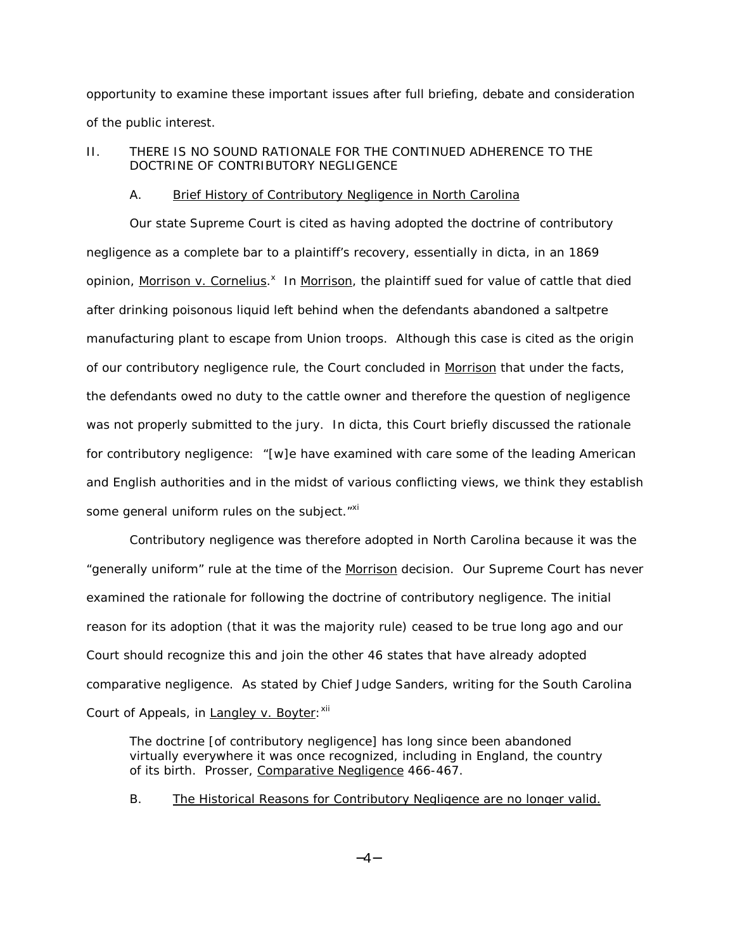opportunity to examine these important issues after full briefing, debate and consideration of the public interest.

# II. THERE IS NO SOUND RATIONALE FOR THE CONTINUED ADHERENCE TO THE DOCTRINE OF CONTRIBUTORY NEGLIGENCE

### A. Brief History of Contributory Negligence in North Carolina

Our state Supreme Court is cited as having adopted the doctrine of contributory negligence as a complete bar to a plaintiff's recovery, essentially in dicta, in an 1869 opinion, Morrison v. Cornelius.<sup>[x](#page-10-0)</sup> In Morrison, the plaintiff sued for value of cattle that died after drinking poisonous liquid left behind when the defendants abandoned a saltpetre manufacturing plant to escape from Union troops. Although this case is cited as the origin of our contributory negligence rule, the Court concluded in Morrison that under the facts, the defendants owed no duty to the cattle owner and therefore the question of negligence was not properly submitted to the jury. In dicta, this Court briefly discussed the rationale for contributory negligence: "[w]e have examined with care some of the leading American and English authorities and in the midst of various conflicting views, we think they establish some general uniform rules on the subject."<sup>xi</sup>

Contributory negligence was therefore adopted in North Carolina because it was the "generally uniform" rule at the time of the Morrison decision. Our Supreme Court has never examined the rationale for following the doctrine of contributory negligence. The initial reason for its adoption (that it was the majority rule) ceased to be true long ago and our Court should recognize this and join the other 46 states that have already adopted comparative negligence. As stated by Chief Judge Sanders, writing for the South Carolina Court of Appeals, in Langley v. Boyter: <sup>[xii](#page-10-0)</sup>

The doctrine [of contributory negligence] has long since been abandoned virtually everywhere it was once recognized, including in England, the country of its birth. Prosser, Comparative Negligence 466-467.

B. The Historical Reasons for Contributory Negligence are no longer valid.

−4−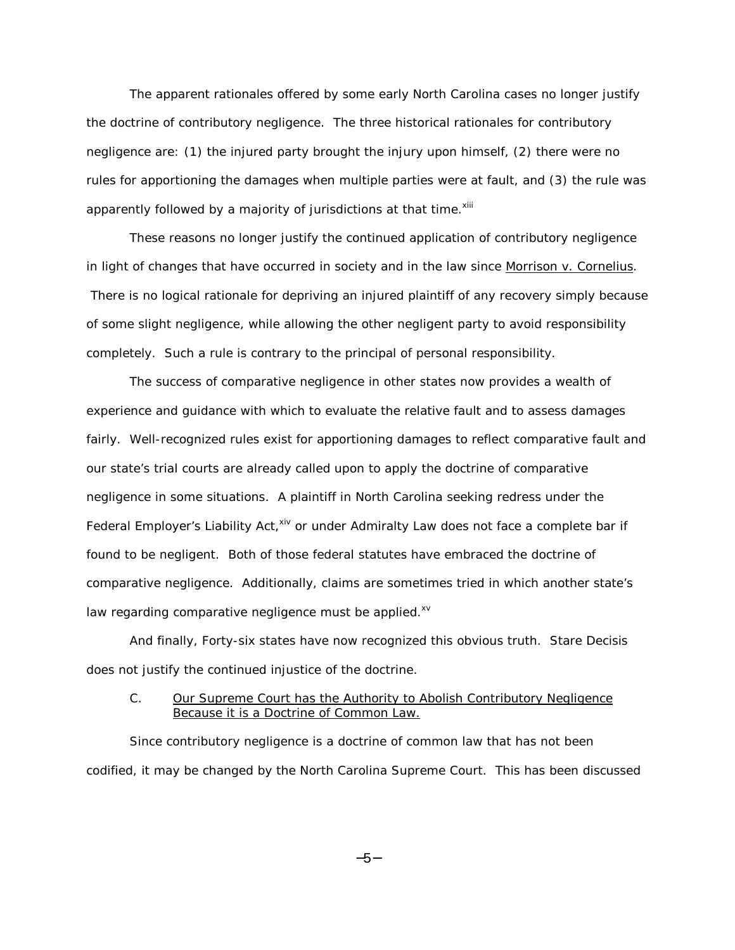The apparent rationales offered by some early North Carolina cases no longer justify the doctrine of contributory negligence. The three historical rationales for contributory negligence are: (1) the injured party brought the injury upon himself, (2) there were no rules for apportioning the damages when multiple parties were at fault, and (3) the rule was apparently followed by a majority of jurisdictions at that time.<sup>[xiii](#page-10-0)</sup>

These reasons no longer justify the continued application of contributory negligence in light of changes that have occurred in society and in the law since Morrison v. Cornelius. There is no logical rationale for depriving an injured plaintiff of any recovery simply because of some slight negligence, while allowing the other negligent party to avoid responsibility completely. Such a rule is contrary to the principal of personal responsibility.

The success of comparative negligence in other states now provides a wealth of experience and guidance with which to evaluate the relative fault and to assess damages fairly. Well-recognized rules exist for apportioning damages to reflect comparative fault and our state's trial courts are already called upon to apply the doctrine of comparative negligence in some situations. A plaintiff in North Carolina seeking redress under the Federal Employer's Liability Act, Xiv or under Admiralty Law does not face a complete bar if found to be negligent. Both of those federal statutes have embraced the doctrine of comparative negligence. Additionally, claims are sometimes tried in which another state's law regarding comparative negligence must be applied. $x^2$ 

And finally, Forty-six states have now recognized this obvious truth. *Stare Decisis* does not justify the continued injustice of the doctrine.

### C. Our Supreme Court has the Authority to Abolish Contributory Negligence Because it is a Doctrine of Common Law.

Since contributory negligence is a doctrine of common law that has not been codified, it may be changed by the North Carolina Supreme Court. This has been discussed

−5−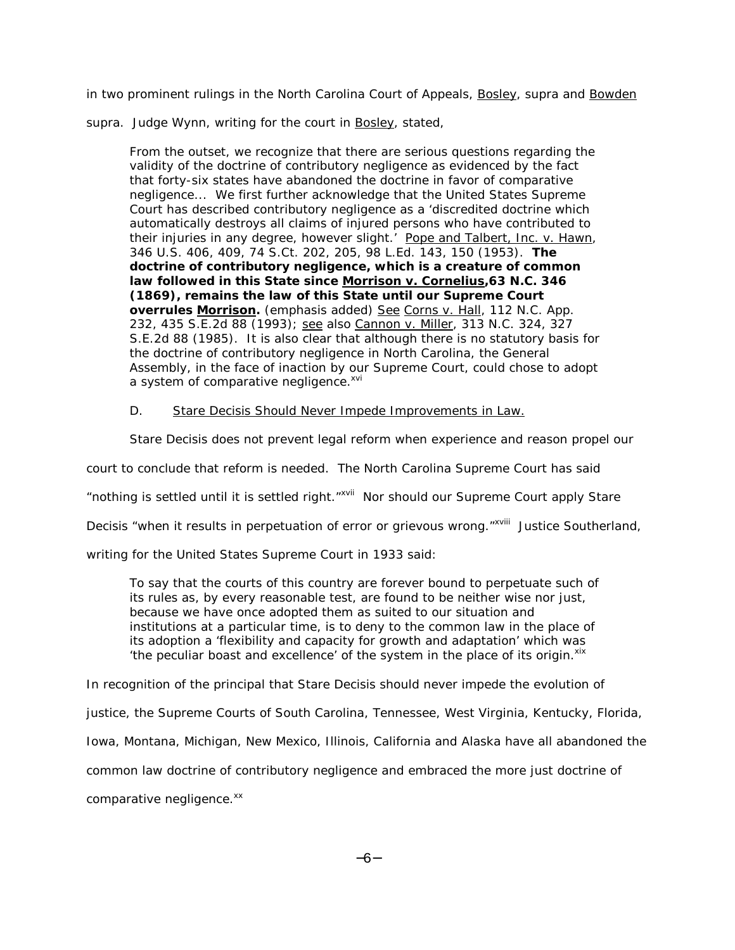in two prominent rulings in the North Carolina Court of Appeals, Bosley, *supra* and Bowden

*supra.* Judge Wynn, writing for the court in Bosley, stated,

From the outset, we recognize that there are serious questions regarding the validity of the doctrine of contributory negligence as evidenced by the fact that forty-six states have abandoned the doctrine in favor of comparative negligence... We first further acknowledge that the United States Supreme Court has described contributory negligence as a 'discredited doctrine which automatically destroys all claims of injured persons who have contributed to their injuries in any degree, however slight.' Pope and Talbert, Inc. v. Hawn, 346 U.S. 406, 409, 74 S.Ct. 202, 205, 98 L.Ed. 143, 150 (1953). *The doctrine of contributory negligence, which is a creature of common law followed in this State since Morrison v. Cornelius,63 N.C. 346 (1869), remains the law of this State until our Supreme Court overrules Morrison.* (emphasis added) See Corns v. Hall, 112 N.C. App. 232, 435 S.E.2d 88 (1993); see also Cannon v. Miller, 313 N.C. 324, 327 S.E.2d 88 (1985). It is also clear that although there is no statutory basis for the doctrine of contributory negligence in North Carolina, the General Assembly, in the face of inaction by our Supreme Court, could chose to adopt a system of comparative negligence.<sup>[xvi](#page-10-0)</sup>

D. *Stare Decisis* Should Never Impede Improvements in Law.

*Stare Decisis* does not prevent legal reform when experience and reason propel our

court to conclude that reform is needed. The North Carolina Supreme Court has said

"nothing is settled until it is settled right.["xvii](#page-10-0) Nor should our Supreme Court apply *Stare* 

*Decisis* "when it results in perpetuation of error or grievous wrong."<sup>xviii</sup> Justice Southerland,

writing for the United States Supreme Court in 1933 said:

To say that the courts of this country are forever bound to perpetuate such of its rules as, by every reasonable test, are found to be neither wise nor just, because we have once adopted them as suited to our situation and institutions at a particular time, is to deny to the common law in the place of its adoption a 'flexibility and capacity for growth and adaptation' which was 'the peculiar boast and excellence' of the system in the place of its origin. $x$ <sup>[xix](#page-10-0)</sup>

In recognition of the principal that *Stare Decisis* should never impede the evolution of

justice, the Supreme Courts of South Carolina, Tennessee, West Virginia, Kentucky, Florida,

Iowa, Montana, Michigan, New Mexico, Illinois, California and Alaska have all abandoned the

common law doctrine of contributory negligence and embraced the more just doctrine of

comparative negligence.<sup>[xx](#page-10-0)</sup>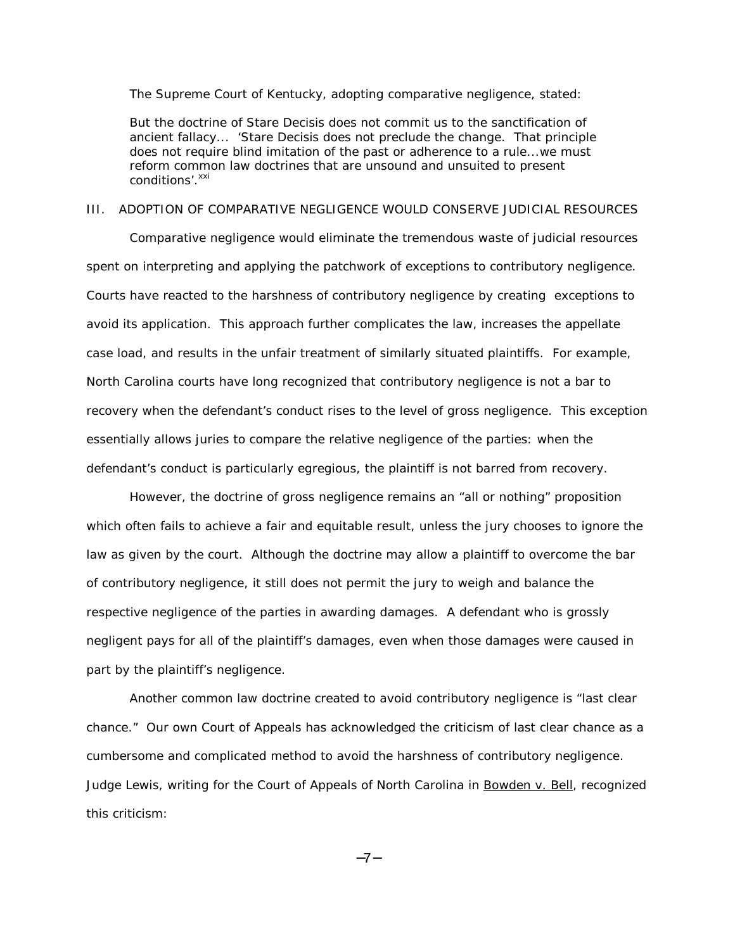The Supreme Court of Kentucky, adopting comparative negligence, stated:

But the doctrine of *Stare Decisis* does not commit us to the sanctification of ancient fallacy... '*Stare Decisis* does not preclude the change. That principle does not require blind imitation of the past or adherence to a rule...we must reform common law doctrines that are unsound and unsuited to present conditions'.<sup>xxi</sup>

#### III. ADOPTION OF COMPARATIVE NEGLIGENCE WOULD CONSERVE JUDICIAL RESOURCES

Comparative negligence would eliminate the tremendous waste of judicial resources spent on interpreting and applying the patchwork of exceptions to contributory negligence. Courts have reacted to the harshness of contributory negligence by creating exceptions to avoid its application. This approach further complicates the law, increases the appellate case load, and results in the unfair treatment of similarly situated plaintiffs. For example, North Carolina courts have long recognized that contributory negligence is not a bar to recovery when the defendant's conduct rises to the level of gross negligence. This exception essentially allows juries to compare the relative negligence of the parties: when the defendant's conduct is particularly egregious, the plaintiff is not barred from recovery.

However, the doctrine of gross negligence remains an "all or nothing" proposition which often fails to achieve a fair and equitable result, unless the jury chooses to ignore the law as given by the court. Although the doctrine may allow a plaintiff to overcome the bar of contributory negligence, it still does not permit the jury to weigh and balance the respective negligence of the parties in awarding damages. A defendant who is grossly negligent pays for all of the plaintiff's damages, even when those damages were caused in part by the plaintiff's negligence.

Another common law doctrine created to avoid contributory negligence is "last clear chance." Our own Court of Appeals has acknowledged the criticism of last clear chance as a cumbersome and complicated method to avoid the harshness of contributory negligence. Judge Lewis, writing for the Court of Appeals of North Carolina in Bowden v. Bell, recognized this criticism:

−7−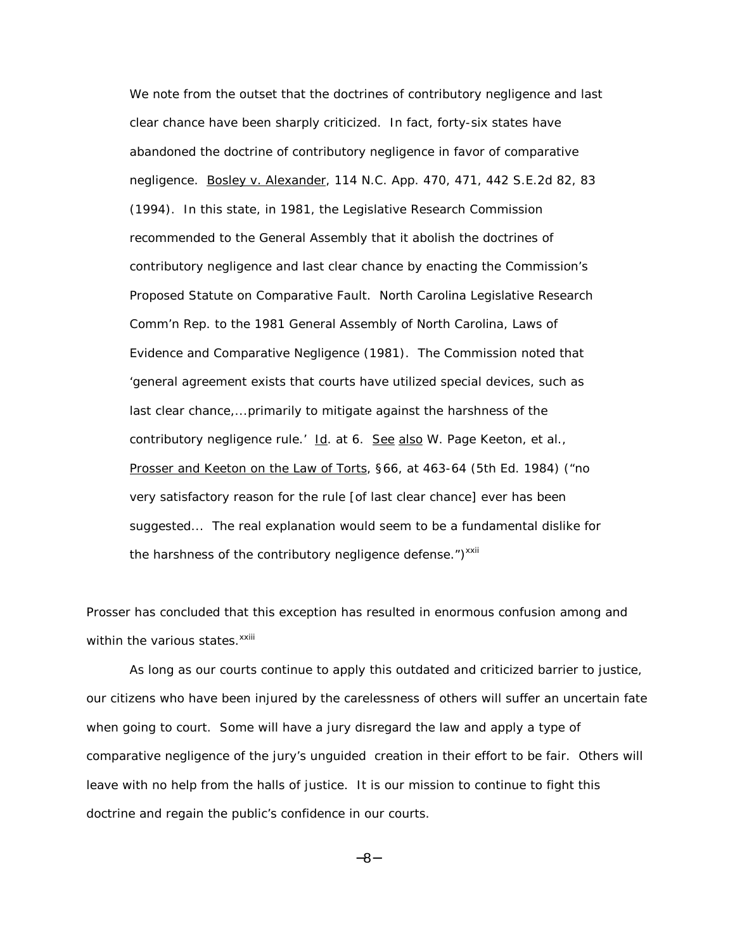We note from the outset that the doctrines of contributory negligence and last clear chance have been sharply criticized. In fact, forty-six states have abandoned the doctrine of contributory negligence in favor of comparative negligence. Bosley v. Alexander, 114 N.C. App. 470, 471, 442 S.E.2d 82, 83 (1994). In this state, in 1981, the Legislative Research Commission recommended to the General Assembly that it abolish the doctrines of contributory negligence and last clear chance by enacting the Commission's Proposed Statute on Comparative Fault. *North Carolina Legislative Research Comm'n Rep. to the 1981 General Assembly of North Carolina, Laws of Evidence and Comparative Negligence* (1981). The Commission noted that 'general agreement exists that courts have utilized special devices, such as last clear chance,...primarily to mitigate against the harshness of the contributory negligence rule.' Id. at 6. See also W. Page Keeton, et al., Prosser and Keeton on the Law of Torts, §66, at 463-64 (5th Ed. 1984) ("no very satisfactory reason for the rule [of last clear chance] ever has been suggested... The real explanation would seem to be a fundamental dislike for the harshness of the contributory negligence defense.") $^{xxii}$ 

Prosser has concluded that this exception has resulted in enormous confusion among and within the various states.<sup>xxiii</sup>

As long as our courts continue to apply this outdated and criticized barrier to justice, our citizens who have been injured by the carelessness of others will suffer an uncertain fate when going to court. Some will have a jury disregard the law and apply a type of comparative negligence of the jury's unguided creation in their effort to be fair. Others will leave with no help from the halls of justice. It is our mission to continue to fight this doctrine and regain the public's confidence in our courts.

−8−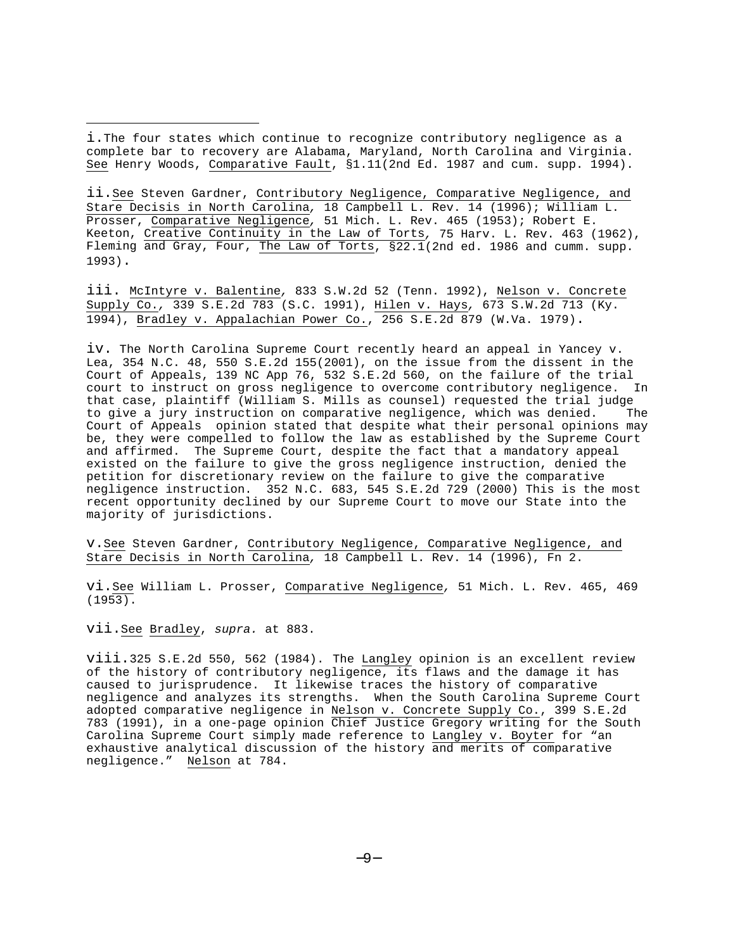i.The four states which continue to recognize contributory negligence as a complete bar to recovery are Alabama, Maryland, North Carolina and Virginia. See Henry Woods, Comparative Fault, §1.11(2nd Ed. 1987 and cum. supp. 1994).

ii.See Steven Gardner, Contributory Negligence, Comparative Negligence, and Stare Decisis in North Carolina, 18 Campbell L. Rev. 14 (1996); William L. Prosser, Comparative Negligence, 51 Mich. L. Rev. 465 (1953); Robert E. Keeton, Creative Continuity in the Law of Torts, 75 Harv. L. Rev. 463 (1962), Fleming and Gray, Four, The Law of Torts, §22.1(2nd ed. 1986 and cumm. supp. 1993).

iii. McIntyre v. Balentine, 833 S.W.2d 52 (Tenn. 1992), Nelson v. Concrete Supply Co., 339 S.E.2d 783 (S.C. 1991), Hilen v. Hays, 673 S.W.2d 713 (Ky. 1994), Bradley v. Appalachian Power Co., 256 S.E.2d 879 (W.Va. 1979).

iv. The North Carolina Supreme Court recently heard an appeal in Yancey v. Lea, 354 N.C. 48, 550 S.E.2d 155(2001), on the issue from the dissent in the Court of Appeals, 139 NC App 76, 532 S.E.2d 560, on the failure of the trial court to instruct on gross negligence to overcome contributory negligence. In that case, plaintiff (William S. Mills as counsel) requested the trial judge to give a jury instruction on comparative negligence, which was denied. The Court of Appeals opinion stated that despite what their personal opinions may be, they were compelled to follow the law as established by the Supreme Court and affirmed. The Supreme Court, despite the fact that a mandatory appeal existed on the failure to give the gross negligence instruction, denied the petition for discretionary review on the failure to give the comparative negligence instruction. 352 N.C. 683, 545 S.E.2d 729 (2000) This is the most recent opportunity declined by our Supreme Court to move our State into the majority of jurisdictions.

v.See Steven Gardner, Contributory Negligence, Comparative Negligence, and Stare Decisis in North Carolina, 18 Campbell L. Rev. 14 (1996), Fn 2.

vi.See William L. Prosser, Comparative Negligence, 51 Mich. L. Rev. 465, 469 (1953).

vii.See Bradley, supra. at 883.

viii.325 S.E.2d 550, 562 (1984). The Langley opinion is an excellent review of the history of contributory negligence, its flaws and the damage it has caused to jurisprudence. It likewise traces the history of comparative negligence and analyzes its strengths. When the South Carolina Supreme Court adopted comparative negligence in Nelson v. Concrete Supply Co., 399 S.E.2d 783 (1991), in a one-page opinion Chief Justice Gregory writing for the South Carolina Supreme Court simply made reference to Langley v. Boyter for "an exhaustive analytical discussion of the history and merits of comparative negligence." Nelson at 784.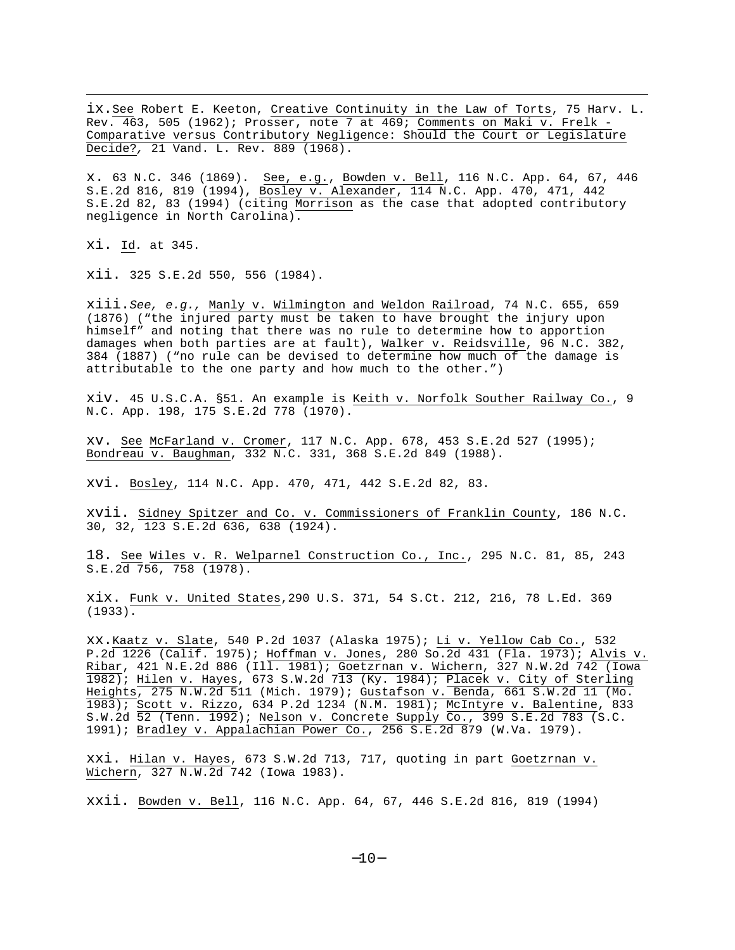ix.See Robert E. Keeton, Creative Continuity in the Law of Torts, 75 Harv. L. Rev. 463, 505 (1962); Prosser, note 7 at 469; Comments on Maki v. Frelk - Comparative versus Contributory Negligence: Should the Court or Legislature Decide?, 21 Vand. L. Rev. 889 (1968).

x. 63 N.C. 346 (1869). See, e.g., Bowden v. Bell, 116 N.C. App. 64, 67, 446 S.E.2d 816, 819 (1994), Bosley v. Alexander, 114 N.C. App. 470, 471, 442 S.E.2d 82, 83 (1994) (citing Morrison as the case that adopted contributory negligence in North Carolina).

xi. Id. at 345.

xii. 325 S.E.2d 550, 556 (1984).

xiii.See, e.g., Manly v. Wilmington and Weldon Railroad, 74 N.C. 655, 659 (1876) ("the injured party must be taken to have brought the injury upon himself" and noting that there was no rule to determine how to apportion damages when both parties are at fault), Walker v. Reidsville, 96 N.C. 382, 384 (1887) ("no rule can be devised to determine how much of the damage is attributable to the one party and how much to the other.")

xiv. 45 U.S.C.A. §51. An example is Keith v. Norfolk Souther Railway Co., 9 N.C. App. 198, 175 S.E.2d 778 (1970).

xv. See McFarland v. Cromer, 117 N.C. App. 678, 453 S.E.2d 527 (1995); Bondreau v. Baughman, 332 N.C. 331, 368 S.E.2d 849 (1988).

xvi. Bosley, 114 N.C. App. 470, 471, 442 S.E.2d 82, 83.

xvii. Sidney Spitzer and Co. v. Commissioners of Franklin County, 186 N.C. 30, 32, 123 S.E.2d 636, 638 (1924).

18. See Wiles v. R. Welparnel Construction Co., Inc., 295 N.C. 81, 85, 243 S.E.2d 756, 758 (1978).

xix. Funk v. United States,290 U.S. 371, 54 S.Ct. 212, 216, 78 L.Ed. 369 (1933).

xx.Kaatz v. Slate, 540 P.2d 1037 (Alaska 1975); Li v. Yellow Cab Co., 532 P.2d 1226 (Calif. 1975); Hoffman v. Jones, 280 So.2d 431 (Fla. 1973); Alvis v. Ribar, 421 N.E.2d 886 (Ill. 1981); Goetzrnan v. Wichern, 327 N.W.2d 742 (Iowa 1982); Hilen v. Hayes, 673 S.W.2d 713 (Ky. 1984); Placek v. City of Sterling Heights, 275 N.W.2d 511 (Mich. 1979); Gustafson v. Benda, 661 S.W.2d 11 (Mo. 1983); Scott v. Rizzo, 634 P.2d 1234 (N.M. 1981); McIntyre v. Balentine, 833 S.W.2d 52 (Tenn. 1992); Nelson v. Concrete Supply Co., 399 S.E.2d 783 (S.C. 1991); Bradley v. Appalachian Power Co., 256 S.E.2d 879 (W.Va. 1979).

xxi. Hilan v. Hayes, 673 S.W.2d 713, 717, quoting in part Goetzrnan v. Wichern, 327 N.W.2d 742 (Iowa 1983).

xxii. Bowden v. Bell, 116 N.C. App. 64, 67, 446 S.E.2d 816, 819 (1994)